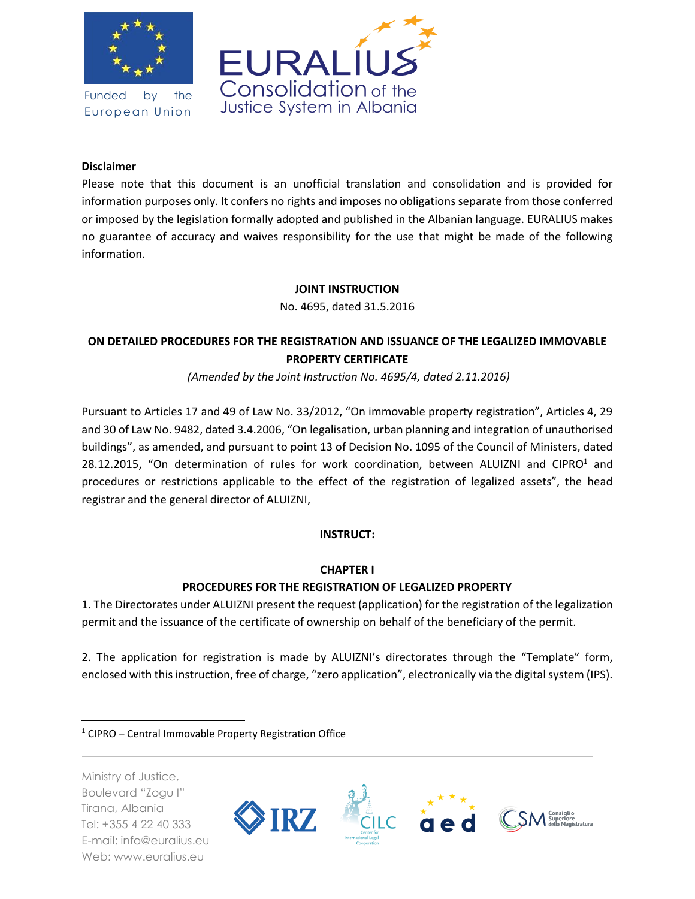

Funded by the European Union



### **Disclaimer**

Please note that this document is an unofficial translation and consolidation and is provided for information purposes only. It confers no rights and imposes no obligations separate from those conferred or imposed by the legislation formally adopted and published in the Albanian language. EURALIUS makes no guarantee of accuracy and waives responsibility for the use that might be made of the following information.

#### **JOINT INSTRUCTION**

No. 4695, dated 31.5.2016

## **ON DETAILED PROCEDURES FOR THE REGISTRATION AND ISSUANCE OF THE LEGALIZED IMMOVABLE PROPERTY CERTIFICATE**

*(Amended by the Joint Instruction No. 4695/4, dated 2.11.2016)*

Pursuant to Articles 17 and 49 of Law No. 33/2012, "On immovable property registration", Articles 4, 29 and 30 of Law No. 9482, dated 3.4.2006, "On legalisation, urban planning and integration of unauthorised buildings", as amended, and pursuant to point 13 of Decision No. 1095 of the Council of Ministers, dated 28.12.2015, "On determination of rules for work coordination, between ALUIZNI and CIPRO $1$  and procedures or restrictions applicable to the effect of the registration of legalized assets", the head registrar and the general director of ALUIZNI,

#### **INSTRUCT:**

#### **CHAPTER I**

### **PROCEDURES FOR THE REGISTRATION OF LEGALIZED PROPERTY**

1. The Directorates under ALUIZNI present the request (application) for the registration of the legalization permit and the issuance of the certificate of ownership on behalf of the beneficiary of the permit.

2. The application for registration is made by ALUIZNI's directorates through the "Template" form, enclosed with this instruction, free of charge, "zero application", electronically via the digital system (IPS).

Ministry of Justice, Boulevard "Zogu I" Tirana, Albania Tel: +355 4 22 40 333 E-mail: info@euralius.eu Web: www.euralius.eu

 $\overline{a}$ 



 $1$  CIPRO – Central Immovable Property Registration Office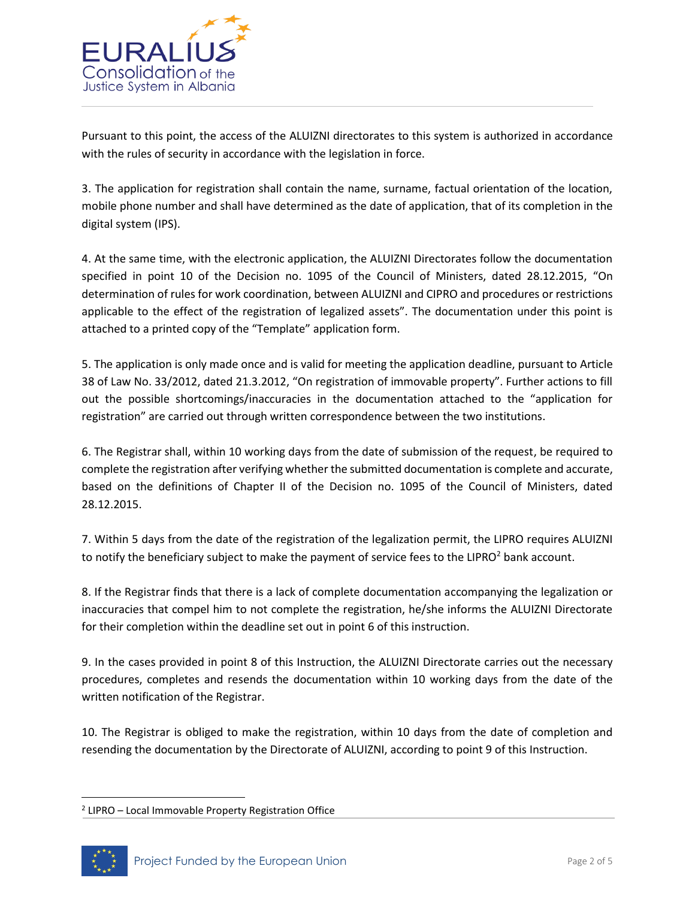

Pursuant to this point, the access of the ALUIZNI directorates to this system is authorized in accordance with the rules of security in accordance with the legislation in force.

3. The application for registration shall contain the name, surname, factual orientation of the location, mobile phone number and shall have determined as the date of application, that of its completion in the digital system (IPS).

4. At the same time, with the electronic application, the ALUIZNI Directorates follow the documentation specified in point 10 of the Decision no. 1095 of the Council of Ministers, dated 28.12.2015, "On determination of rules for work coordination, between ALUIZNI and CIPRO and procedures or restrictions applicable to the effect of the registration of legalized assets". The documentation under this point is attached to a printed copy of the "Template" application form.

5. The application is only made once and is valid for meeting the application deadline, pursuant to Article 38 of Law No. 33/2012, dated 21.3.2012, "On registration of immovable property". Further actions to fill out the possible shortcomings/inaccuracies in the documentation attached to the "application for registration" are carried out through written correspondence between the two institutions.

6. The Registrar shall, within 10 working days from the date of submission of the request, be required to complete the registration after verifying whether the submitted documentation is complete and accurate, based on the definitions of Chapter II of the Decision no. 1095 of the Council of Ministers, dated 28.12.2015.

7. Within 5 days from the date of the registration of the legalization permit, the LIPRO requires ALUIZNI to notify the beneficiary subject to make the payment of service fees to the LIPRO $2$  bank account.

8. If the Registrar finds that there is a lack of complete documentation accompanying the legalization or inaccuracies that compel him to not complete the registration, he/she informs the ALUIZNI Directorate for their completion within the deadline set out in point 6 of this instruction.

9. In the cases provided in point 8 of this Instruction, the ALUIZNI Directorate carries out the necessary procedures, completes and resends the documentation within 10 working days from the date of the written notification of the Registrar.

10. The Registrar is obliged to make the registration, within 10 days from the date of completion and resending the documentation by the Directorate of ALUIZNI, according to point 9 of this Instruction.

<sup>&</sup>lt;sup>2</sup> LIPRO - Local Immovable Property Registration Office



 $\overline{\phantom{a}}$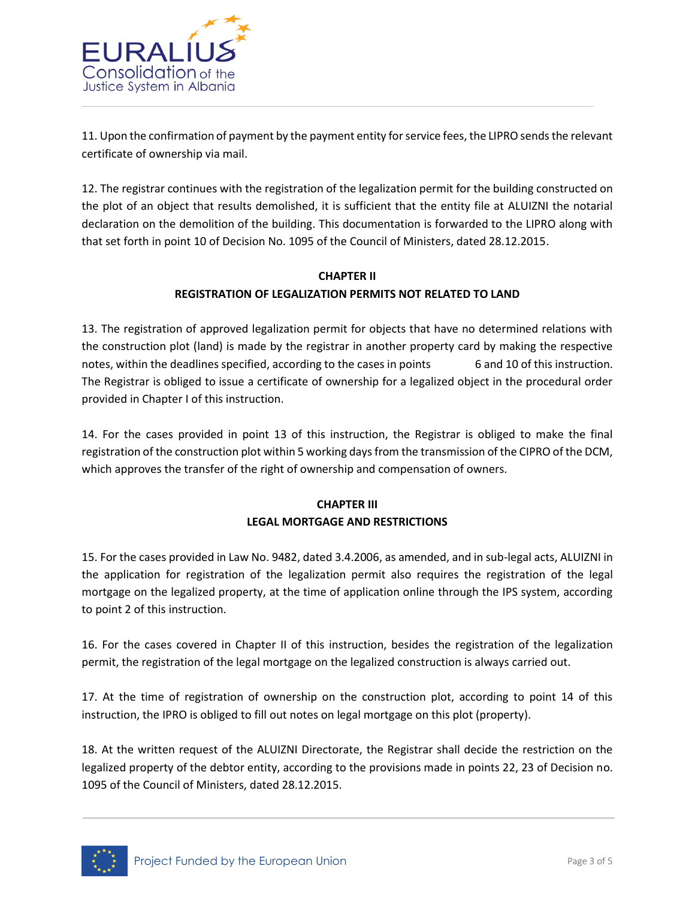

11. Upon the confirmation of payment by the payment entity for service fees, the LIPRO sends the relevant certificate of ownership via mail.

12. The registrar continues with the registration of the legalization permit for the building constructed on the plot of an object that results demolished, it is sufficient that the entity file at ALUIZNI the notarial declaration on the demolition of the building. This documentation is forwarded to the LIPRO along with that set forth in point 10 of Decision No. 1095 of the Council of Ministers, dated 28.12.2015.

# **CHAPTER II REGISTRATION OF LEGALIZATION PERMITS NOT RELATED TO LAND**

13. The registration of approved legalization permit for objects that have no determined relations with the construction plot (land) is made by the registrar in another property card by making the respective notes, within the deadlines specified, according to the cases in points 6 and 10 of this instruction. The Registrar is obliged to issue a certificate of ownership for a legalized object in the procedural order provided in Chapter I of this instruction.

14. For the cases provided in point 13 of this instruction, the Registrar is obliged to make the final registration of the construction plot within 5 working days from the transmission of the CIPRO of the DCM, which approves the transfer of the right of ownership and compensation of owners.

## **CHAPTER III LEGAL MORTGAGE AND RESTRICTIONS**

15. For the cases provided in Law No. 9482, dated 3.4.2006, as amended, and in sub-legal acts, ALUIZNI in the application for registration of the legalization permit also requires the registration of the legal mortgage on the legalized property, at the time of application online through the IPS system, according to point 2 of this instruction.

16. For the cases covered in Chapter II of this instruction, besides the registration of the legalization permit, the registration of the legal mortgage on the legalized construction is always carried out.

17. At the time of registration of ownership on the construction plot, according to point 14 of this instruction, the IPRO is obliged to fill out notes on legal mortgage on this plot (property).

18. At the written request of the ALUIZNI Directorate, the Registrar shall decide the restriction on the legalized property of the debtor entity, according to the provisions made in points 22, 23 of Decision no. 1095 of the Council of Ministers, dated 28.12.2015.

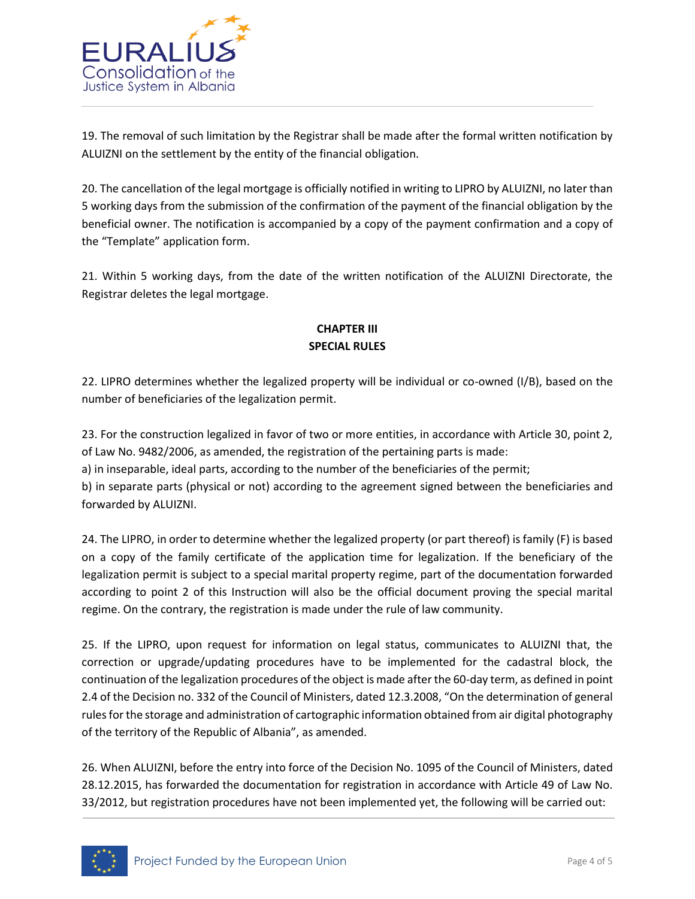

19. The removal of such limitation by the Registrar shall be made after the formal written notification by ALUIZNI on the settlement by the entity of the financial obligation.

20. The cancellation of the legal mortgage is officially notified in writing to LIPRO by ALUIZNI, no later than 5 working days from the submission of the confirmation of the payment of the financial obligation by the beneficial owner. The notification is accompanied by a copy of the payment confirmation and a copy of the "Template" application form.

21. Within 5 working days, from the date of the written notification of the ALUIZNI Directorate, the Registrar deletes the legal mortgage.

### **CHAPTER III SPECIAL RULES**

22. LIPRO determines whether the legalized property will be individual or co-owned (I/B), based on the number of beneficiaries of the legalization permit.

23. For the construction legalized in favor of two or more entities, in accordance with Article 30, point 2, of Law No. 9482/2006, as amended, the registration of the pertaining parts is made:

a) in inseparable, ideal parts, according to the number of the beneficiaries of the permit;

b) in separate parts (physical or not) according to the agreement signed between the beneficiaries and forwarded by ALUIZNI.

24. The LIPRO, in order to determine whether the legalized property (or part thereof) is family (F) is based on a copy of the family certificate of the application time for legalization. If the beneficiary of the legalization permit is subject to a special marital property regime, part of the documentation forwarded according to point 2 of this Instruction will also be the official document proving the special marital regime. On the contrary, the registration is made under the rule of law community.

25. If the LIPRO, upon request for information on legal status, communicates to ALUIZNI that, the correction or upgrade/updating procedures have to be implemented for the cadastral block, the continuation of the legalization procedures of the object is made after the 60-day term, as defined in point 2.4 of the Decision no. 332 of the Council of Ministers, dated 12.3.2008, "On the determination of general rules for the storage and administration of cartographic information obtained from air digital photography of the territory of the Republic of Albania", as amended.

26. When ALUIZNI, before the entry into force of the Decision No. 1095 of the Council of Ministers, dated 28.12.2015, has forwarded the documentation for registration in accordance with Article 49 of Law No. 33/2012, but registration procedures have not been implemented yet, the following will be carried out: